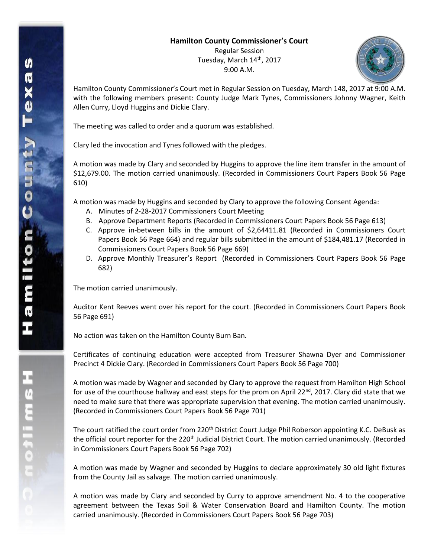## **Hamilton County Commissioner's Court**

Regular Session Tuesday, March 14th, 2017 9:00 A.M.



Hamilton County Commissioner's Court met in Regular Session on Tuesday, March 148, 2017 at 9:00 A.M. with the following members present: County Judge Mark Tynes, Commissioners Johnny Wagner, Keith Allen Curry, Lloyd Huggins and Dickie Clary.

The meeting was called to order and a quorum was established.

Clary led the invocation and Tynes followed with the pledges.

A motion was made by Clary and seconded by Huggins to approve the line item transfer in the amount of \$12,679.00. The motion carried unanimously. (Recorded in Commissioners Court Papers Book 56 Page 610)

A motion was made by Huggins and seconded by Clary to approve the following Consent Agenda:

- A. Minutes of 2-28-2017 Commissioners Court Meeting
- B. Approve Department Reports (Recorded in Commissioners Court Papers Book 56 Page 613)
- C. Approve in-between bills in the amount of \$2,64411.81 (Recorded in Commissioners Court Papers Book 56 Page 664) and regular bills submitted in the amount of \$184,481.17 (Recorded in Commissioners Court Papers Book 56 Page 669)
- D. Approve Monthly Treasurer's Report (Recorded in Commissioners Court Papers Book 56 Page 682)

The motion carried unanimously.

Auditor Kent Reeves went over his report for the court. (Recorded in Commissioners Court Papers Book 56 Page 691)

No action was taken on the Hamilton County Burn Ban.

Certificates of continuing education were accepted from Treasurer Shawna Dyer and Commissioner Precinct 4 Dickie Clary. (Recorded in Commissioners Court Papers Book 56 Page 700)

A motion was made by Wagner and seconded by Clary to approve the request from Hamilton High School for use of the courthouse hallway and east steps for the prom on April 22<sup>nd</sup>, 2017. Clary did state that we need to make sure that there was appropriate supervision that evening. The motion carried unanimously. (Recorded in Commissioners Court Papers Book 56 Page 701)

The court ratified the court order from 220<sup>th</sup> District Court Judge Phil Roberson appointing K.C. DeBusk as the official court reporter for the 220<sup>th</sup> Judicial District Court. The motion carried unanimously. (Recorded in Commissioners Court Papers Book 56 Page 702)

A motion was made by Wagner and seconded by Huggins to declare approximately 30 old light fixtures from the County Jail as salvage. The motion carried unanimously.

A motion was made by Clary and seconded by Curry to approve amendment No. 4 to the cooperative agreement between the Texas Soil & Water Conservation Board and Hamilton County. The motion carried unanimously. (Recorded in Commissioners Court Papers Book 56 Page 703)